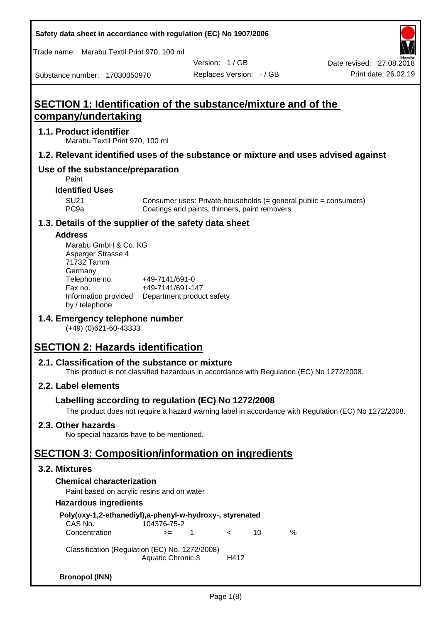Trade name: Marabu Textil Print 970, 100 ml

Substance number: 17030050970

Version: 1 / GB

Replaces Version: - / GB Print date: 26.02.19 Date revised: 27.08.2018

# **SECTION 1: Identification of the substance/mixture and of the company/undertaking**

### **1.1. Product identifier**

Marabu Textil Print 970, 100 ml

### **1.2. Relevant identified uses of the substance or mixture and uses advised against**

### **Use of the substance/preparation**

Paint

### **Identified Uses**

SU21 Consumer uses: Private households (= general public = consumers)<br>PC9a Coatings and paints, thinners, paint removers Coatings and paints, thinners, paint removers

### **1.3. Details of the supplier of the safety data sheet**

### **Address**

| Marabu GmbH & Co. KG |                           |
|----------------------|---------------------------|
| Asperger Strasse 4   |                           |
| 71732 Tamm           |                           |
| Germany              |                           |
| Telephone no.        | +49-7141/691-0            |
| Fax no.              | +49-7141/691-147          |
| Information provided | Department product safety |
| by / telephone       |                           |

### **1.4. Emergency telephone number**

(+49) (0)621-60-43333

# **SECTION 2: Hazards identification**

### **2.1. Classification of the substance or mixture**

This product is not classified hazardous in accordance with Regulation (EC) No 1272/2008.

### **2.2. Label elements**

### **Labelling according to regulation (EC) No 1272/2008**

The product does not require a hazard warning label in accordance with Regulation (EC) No 1272/2008.

### **2.3. Other hazards**

No special hazards have to be mentioned.

## **SECTION 3: Composition/information on ingredients**

### **3.2. Mixtures**

### **Chemical characterization**

Paint based on acrylic resins and on water

### **Hazardous ingredients**

| Poly(oxy-1,2-ethanediyl),a-phenyl-w-hydroxy-, styrenated<br>CAS No.                | 104376-75-2 |             |         |    |   |
|------------------------------------------------------------------------------------|-------------|-------------|---------|----|---|
|                                                                                    |             |             |         |    |   |
| Concentration                                                                      | $>=$        | $\mathbf 1$ | $\prec$ | 10 | ℅ |
| Classification (Regulation (EC) No. 1272/2008)<br><b>Aquatic Chronic 3</b><br>H412 |             |             |         |    |   |
| <b>Bronopol (INN)</b>                                                              |             |             |         |    |   |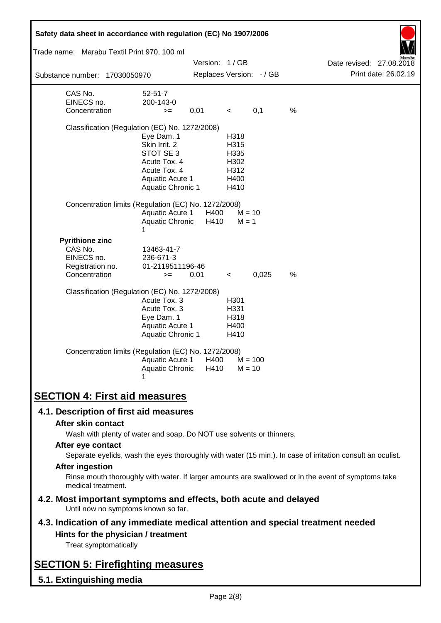| Safety data sheet in accordance with regulation (EC) No 1907/2006                                                                                                                                                                                                                                                                                                                                                                                                                                                                                                                                                            |                                                                                                                         |                                              |                                                      |                          |   |                          |                      |
|------------------------------------------------------------------------------------------------------------------------------------------------------------------------------------------------------------------------------------------------------------------------------------------------------------------------------------------------------------------------------------------------------------------------------------------------------------------------------------------------------------------------------------------------------------------------------------------------------------------------------|-------------------------------------------------------------------------------------------------------------------------|----------------------------------------------|------------------------------------------------------|--------------------------|---|--------------------------|----------------------|
| Trade name: Marabu Textil Print 970, 100 ml                                                                                                                                                                                                                                                                                                                                                                                                                                                                                                                                                                                  |                                                                                                                         |                                              |                                                      |                          |   |                          |                      |
|                                                                                                                                                                                                                                                                                                                                                                                                                                                                                                                                                                                                                              |                                                                                                                         | Version: 1/GB                                |                                                      |                          |   | Date revised: 27.08.2018 | Print date: 26.02.19 |
| Substance number: 17030050970                                                                                                                                                                                                                                                                                                                                                                                                                                                                                                                                                                                                |                                                                                                                         |                                              |                                                      | Replaces Version: - / GB |   |                          |                      |
| CAS No.<br>EINECS no.<br>Concentration                                                                                                                                                                                                                                                                                                                                                                                                                                                                                                                                                                                       | $52 - 51 - 7$<br>200-143-0<br>$>=$                                                                                      | 0,01                                         | $\prec$                                              | 0,1                      | % |                          |                      |
| Classification (Regulation (EC) No. 1272/2008)                                                                                                                                                                                                                                                                                                                                                                                                                                                                                                                                                                               | Eye Dam. 1<br>Skin Irrit. 2<br>STOT SE 3<br>Acute Tox. 4<br>Acute Tox. 4<br>Aquatic Acute 1<br><b>Aquatic Chronic 1</b> |                                              | H318<br>H315<br>H335<br>H302<br>H312<br>H400<br>H410 |                          |   |                          |                      |
| Concentration limits (Regulation (EC) No. 1272/2008)                                                                                                                                                                                                                                                                                                                                                                                                                                                                                                                                                                         | <b>Aquatic Acute 1</b><br>Aquatic Chronic<br>1                                                                          | H400<br>H410                                 | $M = 1$                                              | $M = 10$                 |   |                          |                      |
| <b>Pyrithione zinc</b><br>CAS No.<br>EINECS no.<br>Registration no.<br>Concentration                                                                                                                                                                                                                                                                                                                                                                                                                                                                                                                                         | 13463-41-7<br>236-671-3<br>01-2119511196-46<br>$>=$                                                                     | 0,01                                         | $\prec$                                              | 0,025                    | % |                          |                      |
| Classification (Regulation (EC) No. 1272/2008)                                                                                                                                                                                                                                                                                                                                                                                                                                                                                                                                                                               | Acute Tox. 3<br>Acute Tox. 3<br>Eye Dam. 1<br>Aquatic Acute 1<br>Aquatic Chronic 1                                      |                                              | H301<br>H331<br>H318<br>H400<br>H410                 |                          |   |                          |                      |
| Concentration limits (Regulation (EC) No. 1272/2008)                                                                                                                                                                                                                                                                                                                                                                                                                                                                                                                                                                         |                                                                                                                         | Aquatic Acute 1 H400<br>Aquatic Chronic H410 | $M = 10$                                             | $M = 100$                |   |                          |                      |
| <b>SECTION 4: First aid measures</b>                                                                                                                                                                                                                                                                                                                                                                                                                                                                                                                                                                                         |                                                                                                                         |                                              |                                                      |                          |   |                          |                      |
| 4.1. Description of first aid measures<br>After skin contact<br>Wash with plenty of water and soap. Do NOT use solvents or thinners.<br>After eye contact<br>Separate eyelids, wash the eyes thoroughly with water (15 min.). In case of irritation consult an oculist.<br><b>After ingestion</b><br>Rinse mouth thoroughly with water. If larger amounts are swallowed or in the event of symptoms take<br>medical treatment.<br>4.2. Most important symptoms and effects, both acute and delayed<br>Until now no symptoms known so far.<br>4.3. Indication of any immediate medical attention and special treatment needed |                                                                                                                         |                                              |                                                      |                          |   |                          |                      |
| Hints for the physician / treatment<br>Treat symptomatically                                                                                                                                                                                                                                                                                                                                                                                                                                                                                                                                                                 |                                                                                                                         |                                              |                                                      |                          |   |                          |                      |
| <b>SECTION 5: Firefighting measures</b>                                                                                                                                                                                                                                                                                                                                                                                                                                                                                                                                                                                      |                                                                                                                         |                                              |                                                      |                          |   |                          |                      |
| 5.1. Extinguishing media                                                                                                                                                                                                                                                                                                                                                                                                                                                                                                                                                                                                     |                                                                                                                         |                                              |                                                      |                          |   |                          |                      |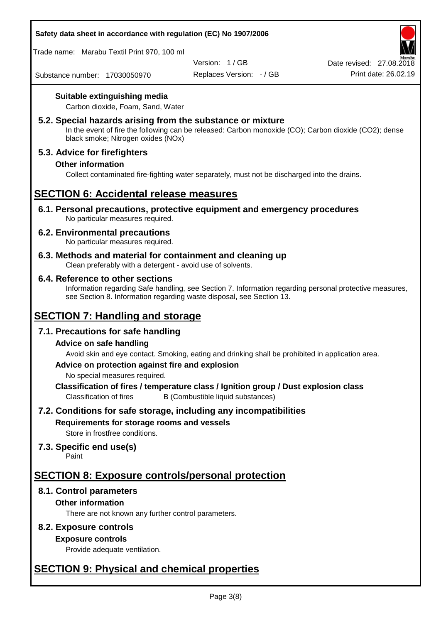

Trade name: Marabu Textil Print 970, 100 ml

Version: 1 / GB

Replaces Version: - / GB Print date: 26.02.19 Date revised: 27.08.2018

Substance number: 17030050970

### **Suitable extinguishing media**

Carbon dioxide, Foam, Sand, Water

### **5.2. Special hazards arising from the substance or mixture**

In the event of fire the following can be released: Carbon monoxide (CO); Carbon dioxide (CO2); dense black smoke; Nitrogen oxides (NOx)

### **5.3. Advice for firefighters**

### **Other information**

Collect contaminated fire-fighting water separately, must not be discharged into the drains.

### **SECTION 6: Accidental release measures**

**6.1. Personal precautions, protective equipment and emergency procedures** No particular measures required.

### **6.2. Environmental precautions**

No particular measures required.

**6.3. Methods and material for containment and cleaning up** Clean preferably with a detergent - avoid use of solvents.

### **6.4. Reference to other sections**

Information regarding Safe handling, see Section 7. Information regarding personal protective measures, see Section 8. Information regarding waste disposal, see Section 13.

## **SECTION 7: Handling and storage**

### **7.1. Precautions for safe handling**

### **Advice on safe handling**

Avoid skin and eye contact. Smoking, eating and drinking shall be prohibited in application area.

### **Advice on protection against fire and explosion**

No special measures required.

**Classification of fires / temperature class / Ignition group / Dust explosion class** Classification of fires B (Combustible liquid substances)

### **7.2. Conditions for safe storage, including any incompatibilities**

### **Requirements for storage rooms and vessels**

Store in frostfree conditions.

### **7.3. Specific end use(s)**

Paint

# **SECTION 8: Exposure controls/personal protection**

### **8.1. Control parameters**

### **Other information**

There are not known any further control parameters.

### **8.2. Exposure controls**

### **Exposure controls**

Provide adequate ventilation.

# **SECTION 9: Physical and chemical properties**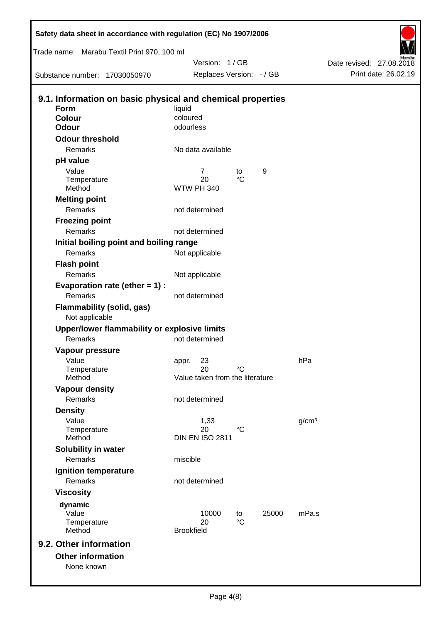| Safety data sheet in accordance with regulation (EC) No 1907/2006                   |                    |                                       |                   |       |                   |                          |                      |
|-------------------------------------------------------------------------------------|--------------------|---------------------------------------|-------------------|-------|-------------------|--------------------------|----------------------|
| Trade name: Marabu Textil Print 970, 100 ml                                         |                    |                                       |                   |       |                   |                          |                      |
|                                                                                     |                    | Version: 1/GB                         |                   |       |                   | Date revised: 27.08.2018 |                      |
| Substance number: 17030050970                                                       |                    | Replaces Version: - / GB              |                   |       |                   |                          | Print date: 26.02.19 |
| 9.1. Information on basic physical and chemical properties<br><b>Form</b><br>Colour | liquid<br>coloured |                                       |                   |       |                   |                          |                      |
| <b>Odour</b>                                                                        | odourless          |                                       |                   |       |                   |                          |                      |
| <b>Odour threshold</b>                                                              |                    |                                       |                   |       |                   |                          |                      |
| Remarks                                                                             |                    | No data available                     |                   |       |                   |                          |                      |
| pH value                                                                            |                    |                                       |                   |       |                   |                          |                      |
| Value                                                                               |                    | 7<br>20                               | to<br>$^{\circ}C$ | 9     |                   |                          |                      |
| Temperature<br>Method                                                               | <b>WTW PH 340</b>  |                                       |                   |       |                   |                          |                      |
| <b>Melting point</b>                                                                |                    |                                       |                   |       |                   |                          |                      |
| Remarks                                                                             |                    | not determined                        |                   |       |                   |                          |                      |
| <b>Freezing point</b>                                                               |                    |                                       |                   |       |                   |                          |                      |
| Remarks                                                                             |                    | not determined                        |                   |       |                   |                          |                      |
| Initial boiling point and boiling range                                             |                    |                                       |                   |       |                   |                          |                      |
| Remarks                                                                             |                    | Not applicable                        |                   |       |                   |                          |                      |
| <b>Flash point</b>                                                                  |                    |                                       |                   |       |                   |                          |                      |
| Remarks                                                                             |                    | Not applicable                        |                   |       |                   |                          |                      |
| Evaporation rate (ether $= 1$ ) :                                                   |                    |                                       |                   |       |                   |                          |                      |
| Remarks<br><b>Flammability (solid, gas)</b>                                         |                    | not determined                        |                   |       |                   |                          |                      |
| Not applicable                                                                      |                    |                                       |                   |       |                   |                          |                      |
| Upper/lower flammability or explosive limits                                        |                    |                                       |                   |       |                   |                          |                      |
| Remarks                                                                             |                    | not determined                        |                   |       |                   |                          |                      |
| Vapour pressure                                                                     |                    |                                       |                   |       |                   |                          |                      |
| Value                                                                               | appr.              | 23                                    | °C                |       | hPa               |                          |                      |
| Temperature<br>Method                                                               |                    | 20<br>Value taken from the literature |                   |       |                   |                          |                      |
| <b>Vapour density</b>                                                               |                    |                                       |                   |       |                   |                          |                      |
| Remarks                                                                             |                    | not determined                        |                   |       |                   |                          |                      |
| <b>Density</b>                                                                      |                    |                                       |                   |       |                   |                          |                      |
| Value                                                                               |                    | 1,33                                  |                   |       | g/cm <sup>3</sup> |                          |                      |
| Temperature                                                                         |                    | 20                                    | $^{\circ}C$       |       |                   |                          |                      |
| Method                                                                              |                    | <b>DIN EN ISO 2811</b>                |                   |       |                   |                          |                      |
| Solubility in water<br>Remarks                                                      | miscible           |                                       |                   |       |                   |                          |                      |
| Ignition temperature                                                                |                    |                                       |                   |       |                   |                          |                      |
| Remarks                                                                             |                    | not determined                        |                   |       |                   |                          |                      |
| <b>Viscosity</b>                                                                    |                    |                                       |                   |       |                   |                          |                      |
| dynamic                                                                             |                    |                                       |                   |       |                   |                          |                      |
| Value                                                                               |                    | 10000                                 | to                | 25000 | mPa.s             |                          |                      |
| Temperature                                                                         |                    | 20                                    | $^{\circ}C$       |       |                   |                          |                      |
| Method                                                                              | <b>Brookfield</b>  |                                       |                   |       |                   |                          |                      |
| 9.2. Other information                                                              |                    |                                       |                   |       |                   |                          |                      |
| <b>Other information</b><br>None known                                              |                    |                                       |                   |       |                   |                          |                      |
|                                                                                     |                    |                                       |                   |       |                   |                          |                      |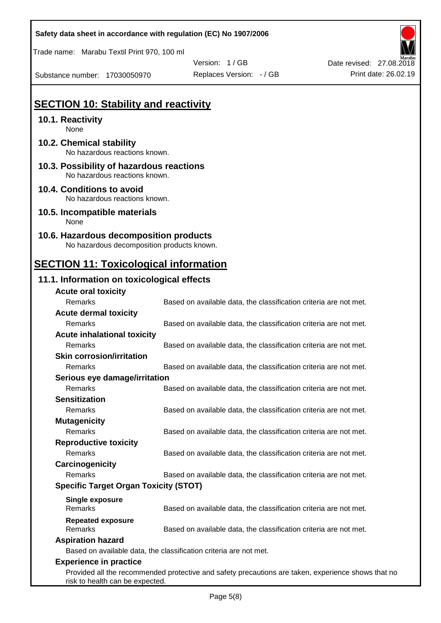Trade name: Marabu Textil Print 970, 100 ml

Substance number: 17030050970

Version: 1 / GB Replaces Version:  $-$  / GB Print date: 26.02.19

Date revised: 27.08.2018

## **SECTION 10: Stability and reactivity**

### **10.1. Reactivity**

None

- **10.2. Chemical stability** No hazardous reactions known.
- **10.3. Possibility of hazardous reactions** No hazardous reactions known.

### **10.4. Conditions to avoid** No hazardous reactions known.

**10.5. Incompatible materials** None

#### **10.6. Hazardous decomposition products** No hazardous decomposition products known.

# **SECTION 11: Toxicological information**

### **11.1. Information on toxicological effects**

| <b>Acute oral toxicity</b>                   |                                                                                                    |
|----------------------------------------------|----------------------------------------------------------------------------------------------------|
| Remarks                                      | Based on available data, the classification criteria are not met.                                  |
| <b>Acute dermal toxicity</b>                 |                                                                                                    |
| Remarks                                      | Based on available data, the classification criteria are not met.                                  |
| <b>Acute inhalational toxicity</b>           |                                                                                                    |
| Remarks                                      | Based on available data, the classification criteria are not met.                                  |
| <b>Skin corrosion/irritation</b>             |                                                                                                    |
| Remarks                                      | Based on available data, the classification criteria are not met.                                  |
| Serious eye damage/irritation                |                                                                                                    |
| Remarks                                      | Based on available data, the classification criteria are not met.                                  |
| <b>Sensitization</b>                         |                                                                                                    |
| Remarks                                      | Based on available data, the classification criteria are not met.                                  |
| <b>Mutagenicity</b>                          |                                                                                                    |
| Remarks                                      | Based on available data, the classification criteria are not met.                                  |
| <b>Reproductive toxicity</b>                 |                                                                                                    |
| Remarks                                      | Based on available data, the classification criteria are not met.                                  |
| Carcinogenicity                              |                                                                                                    |
| Remarks                                      | Based on available data, the classification criteria are not met.                                  |
| <b>Specific Target Organ Toxicity (STOT)</b> |                                                                                                    |
| <b>Single exposure</b>                       |                                                                                                    |
| Remarks                                      | Based on available data, the classification criteria are not met.                                  |
| <b>Repeated exposure</b>                     |                                                                                                    |
| Remarks                                      | Based on available data, the classification criteria are not met.                                  |
| <b>Aspiration hazard</b>                     |                                                                                                    |
|                                              | Based on available data, the classification criteria are not met.                                  |
| <b>Experience in practice</b>                |                                                                                                    |
| risk to health can be expected.              | Provided all the recommended protective and safety precautions are taken, experience shows that no |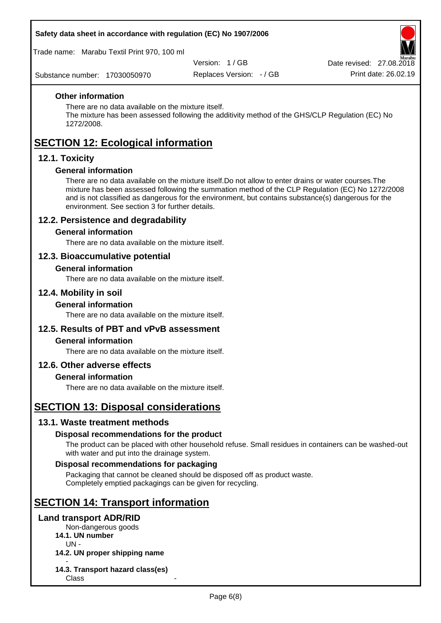Trade name: Marabu Textil Print 970, 100 ml

Version: 1 / GB

Replaces Version: - / GB Print date: 26.02.19 Date revised: 27.08.2018

Substance number: 17030050970

### **Other information**

There are no data available on the mixture itself.

The mixture has been assessed following the additivity method of the GHS/CLP Regulation (EC) No 1272/2008.

# **SECTION 12: Ecological information**

### **12.1. Toxicity**

### **General information**

There are no data available on the mixture itself.Do not allow to enter drains or water courses.The mixture has been assessed following the summation method of the CLP Regulation (EC) No 1272/2008 and is not classified as dangerous for the environment, but contains substance(s) dangerous for the environment. See section 3 for further details.

### **12.2. Persistence and degradability**

### **General information**

There are no data available on the mixture itself.

### **12.3. Bioaccumulative potential**

#### **General information**

There are no data available on the mixture itself.

### **12.4. Mobility in soil**

#### **General information**

There are no data available on the mixture itself.

### **12.5. Results of PBT and vPvB assessment**

### **General information**

There are no data available on the mixture itself.

### **12.6. Other adverse effects**

### **General information**

There are no data available on the mixture itself.

### **SECTION 13: Disposal considerations**

### **13.1. Waste treatment methods**

### **Disposal recommendations for the product**

The product can be placed with other household refuse. Small residues in containers can be washed-out with water and put into the drainage system.

### **Disposal recommendations for packaging**

Packaging that cannot be cleaned should be disposed off as product waste. Completely emptied packagings can be given for recycling.

## **SECTION 14: Transport information**

#### **Land transport ADR/RID**

Non-dangerous goods

**14.1. UN number**

UN -

- **14.2. UN proper shipping name**
- **14.3. Transport hazard class(es) Class**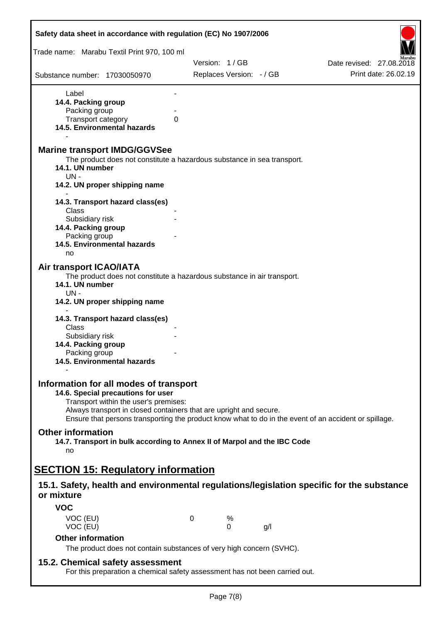| Safety data sheet in accordance with regulation (EC) No 1907/2006                                                                                                                                                                                                                                                                |   |                          |     |                          |
|----------------------------------------------------------------------------------------------------------------------------------------------------------------------------------------------------------------------------------------------------------------------------------------------------------------------------------|---|--------------------------|-----|--------------------------|
| Trade name: Marabu Textil Print 970, 100 ml                                                                                                                                                                                                                                                                                      |   |                          |     |                          |
|                                                                                                                                                                                                                                                                                                                                  |   | Version: 1/GB            |     | Date revised: 27,08,2018 |
| Substance number: 17030050970                                                                                                                                                                                                                                                                                                    |   | Replaces Version: - / GB |     | Print date: 26.02.19     |
| Label                                                                                                                                                                                                                                                                                                                            |   |                          |     |                          |
| 14.4. Packing group                                                                                                                                                                                                                                                                                                              |   |                          |     |                          |
| Packing group                                                                                                                                                                                                                                                                                                                    |   |                          |     |                          |
| Transport category                                                                                                                                                                                                                                                                                                               | 0 |                          |     |                          |
| 14.5. Environmental hazards                                                                                                                                                                                                                                                                                                      |   |                          |     |                          |
| <b>Marine transport IMDG/GGVSee</b><br>The product does not constitute a hazardous substance in sea transport.<br>14.1. UN number<br>$UN -$<br>14.2. UN proper shipping name                                                                                                                                                     |   |                          |     |                          |
| 14.3. Transport hazard class(es)                                                                                                                                                                                                                                                                                                 |   |                          |     |                          |
| Class                                                                                                                                                                                                                                                                                                                            |   |                          |     |                          |
| Subsidiary risk                                                                                                                                                                                                                                                                                                                  |   |                          |     |                          |
| 14.4. Packing group<br>Packing group                                                                                                                                                                                                                                                                                             |   |                          |     |                          |
| 14.5. Environmental hazards                                                                                                                                                                                                                                                                                                      |   |                          |     |                          |
| no                                                                                                                                                                                                                                                                                                                               |   |                          |     |                          |
| <b>Air transport ICAO/IATA</b>                                                                                                                                                                                                                                                                                                   |   |                          |     |                          |
| The product does not constitute a hazardous substance in air transport.                                                                                                                                                                                                                                                          |   |                          |     |                          |
| 14.1. UN number<br>UN-                                                                                                                                                                                                                                                                                                           |   |                          |     |                          |
| 14.2. UN proper shipping name                                                                                                                                                                                                                                                                                                    |   |                          |     |                          |
| 14.3. Transport hazard class(es)                                                                                                                                                                                                                                                                                                 |   |                          |     |                          |
| Class                                                                                                                                                                                                                                                                                                                            |   |                          |     |                          |
| Subsidiary risk                                                                                                                                                                                                                                                                                                                  |   |                          |     |                          |
| 14.4. Packing group                                                                                                                                                                                                                                                                                                              |   |                          |     |                          |
| Packing group                                                                                                                                                                                                                                                                                                                    |   |                          |     |                          |
| 14.5. Environmental hazards                                                                                                                                                                                                                                                                                                      |   |                          |     |                          |
| Information for all modes of transport<br>14.6. Special precautions for user<br>Transport within the user's premises:<br>Always transport in closed containers that are upright and secure.<br>Ensure that persons transporting the product know what to do in the event of an accident or spillage.<br><b>Other information</b> |   |                          |     |                          |
| 14.7. Transport in bulk according to Annex II of Marpol and the IBC Code<br>no                                                                                                                                                                                                                                                   |   |                          |     |                          |
| <b>SECTION 15: Regulatory information</b>                                                                                                                                                                                                                                                                                        |   |                          |     |                          |
| 15.1. Safety, health and environmental regulations/legislation specific for the substance<br>or mixture                                                                                                                                                                                                                          |   |                          |     |                          |
| <b>VOC</b>                                                                                                                                                                                                                                                                                                                       |   |                          |     |                          |
| VOC (EU)                                                                                                                                                                                                                                                                                                                         | 0 | %                        |     |                          |
| VOC (EU)                                                                                                                                                                                                                                                                                                                         |   | $\Omega$                 | g/l |                          |
| <b>Other information</b><br>The product does not contain substances of very high concern (SVHC).                                                                                                                                                                                                                                 |   |                          |     |                          |
|                                                                                                                                                                                                                                                                                                                                  |   |                          |     |                          |
| 15.2. Chemical safety assessment<br>For this preparation a chemical safety assessment has not been carried out.                                                                                                                                                                                                                  |   |                          |     |                          |